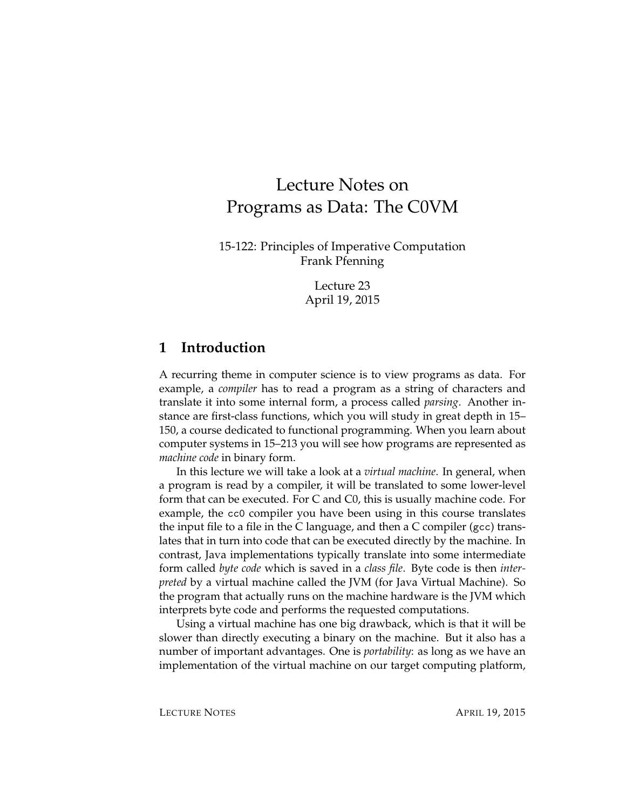# Lecture Notes on Programs as Data: The C0VM

15-122: Principles of Imperative Computation Frank Pfenning

> Lecture 23 April 19, 2015

# **1 Introduction**

A recurring theme in computer science is to view programs as data. For example, a *compiler* has to read a program as a string of characters and translate it into some internal form, a process called *parsing*. Another instance are first-class functions, which you will study in great depth in 15– 150, a course dedicated to functional programming. When you learn about computer systems in 15–213 you will see how programs are represented as *machine code* in binary form.

In this lecture we will take a look at a *virtual machine*. In general, when a program is read by a compiler, it will be translated to some lower-level form that can be executed. For C and C0, this is usually machine code. For example, the cc0 compiler you have been using in this course translates the input file to a file in the C language, and then a C compiler (gcc) translates that in turn into code that can be executed directly by the machine. In contrast, Java implementations typically translate into some intermediate form called *byte code* which is saved in a *class file*. Byte code is then *interpreted* by a virtual machine called the JVM (for Java Virtual Machine). So the program that actually runs on the machine hardware is the JVM which interprets byte code and performs the requested computations.

Using a virtual machine has one big drawback, which is that it will be slower than directly executing a binary on the machine. But it also has a number of important advantages. One is *portability*: as long as we have an implementation of the virtual machine on our target computing platform,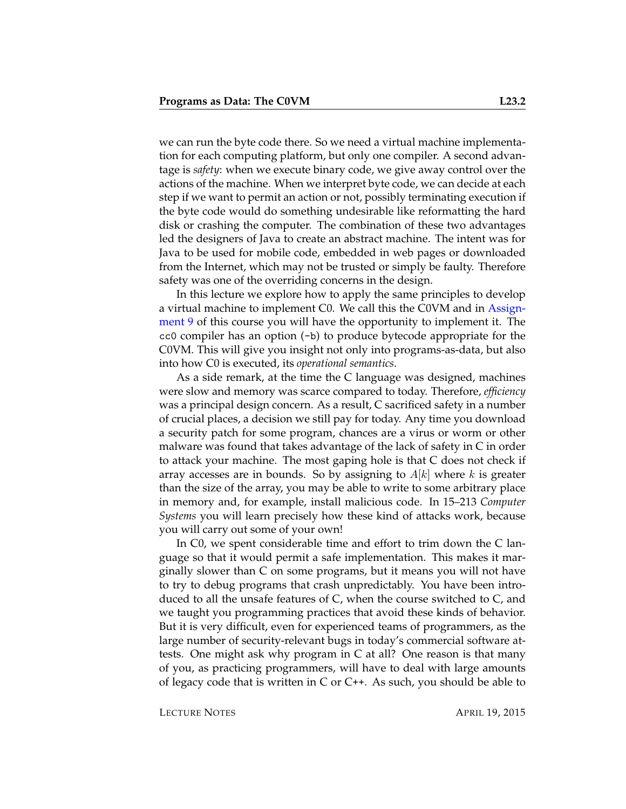we can run the byte code there. So we need a virtual machine implementation for each computing platform, but only one compiler. A second advantage is *safety*: when we execute binary code, we give away control over the actions of the machine. When we interpret byte code, we can decide at each step if we want to permit an action or not, possibly terminating execution if the byte code would do something undesirable like reformatting the hard disk or crashing the computer. The combination of these two advantages led the designers of Java to create an abstract machine. The intent was for Java to be used for mobile code, embedded in web pages or downloaded from the Internet, which may not be trusted or simply be faulty. Therefore safety was one of the overriding concerns in the design.

In this lecture we explore how to apply the same principles to develop a virtual machine to implement C0. We call this the C0VM and in [Assign](http://www.cs.cmu.edu/afs/cs.cmu.edu/academic/class/15122-s14/www/prog9.pdf)[ment 9](http://www.cs.cmu.edu/afs/cs.cmu.edu/academic/class/15122-s14/www/prog9.pdf) of this course you will have the opportunity to implement it. The cc0 compiler has an option (-b) to produce bytecode appropriate for the C0VM. This will give you insight not only into programs-as-data, but also into how C0 is executed, its *operational semantics*.

As a side remark, at the time the C language was designed, machines were slow and memory was scarce compared to today. Therefore, *efficiency* was a principal design concern. As a result, C sacrificed safety in a number of crucial places, a decision we still pay for today. Any time you download a security patch for some program, chances are a virus or worm or other malware was found that takes advantage of the lack of safety in C in order to attack your machine. The most gaping hole is that C does not check if array accesses are in bounds. So by assigning to  $A[k]$  where k is greater than the size of the array, you may be able to write to some arbitrary place in memory and, for example, install malicious code. In 15–213 *Computer Systems* you will learn precisely how these kind of attacks work, because you will carry out some of your own!

In C0, we spent considerable time and effort to trim down the C language so that it would permit a safe implementation. This makes it marginally slower than C on some programs, but it means you will not have to try to debug programs that crash unpredictably. You have been introduced to all the unsafe features of C, when the course switched to C, and we taught you programming practices that avoid these kinds of behavior. But it is very difficult, even for experienced teams of programmers, as the large number of security-relevant bugs in today's commercial software attests. One might ask why program in C at all? One reason is that many of you, as practicing programmers, will have to deal with large amounts of legacy code that is written in C or  $C_{++}$ . As such, you should be able to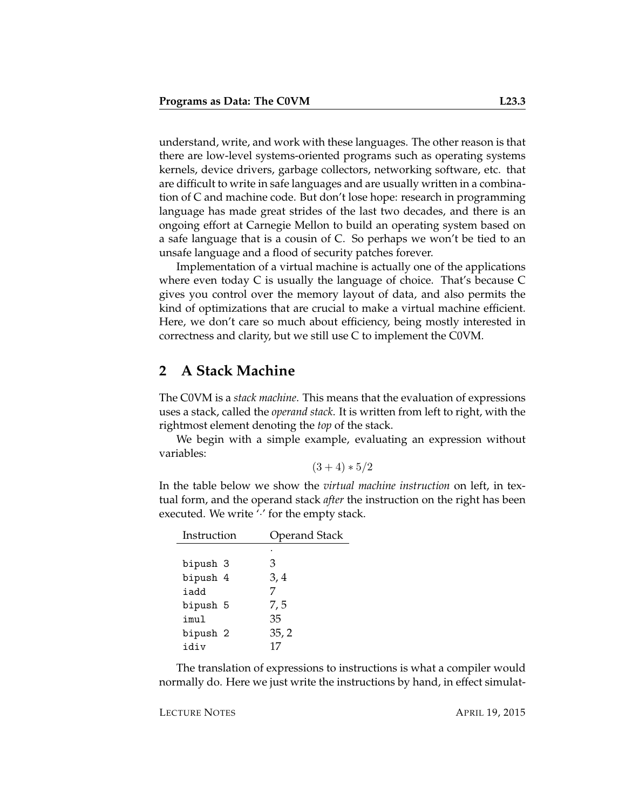understand, write, and work with these languages. The other reason is that there are low-level systems-oriented programs such as operating systems kernels, device drivers, garbage collectors, networking software, etc. that are difficult to write in safe languages and are usually written in a combination of C and machine code. But don't lose hope: research in programming language has made great strides of the last two decades, and there is an ongoing effort at Carnegie Mellon to build an operating system based on a safe language that is a cousin of C. So perhaps we won't be tied to an unsafe language and a flood of security patches forever.

Implementation of a virtual machine is actually one of the applications where even today C is usually the language of choice. That's because C gives you control over the memory layout of data, and also permits the kind of optimizations that are crucial to make a virtual machine efficient. Here, we don't care so much about efficiency, being mostly interested in correctness and clarity, but we still use C to implement the C0VM.

# **2 A Stack Machine**

The C0VM is a *stack machine*. This means that the evaluation of expressions uses a stack, called the *operand stack*. It is written from left to right, with the rightmost element denoting the *top* of the stack.

We begin with a simple example, evaluating an expression without variables:

$$
(3+4)*5/2
$$

In the table below we show the *virtual machine instruction* on left, in textual form, and the operand stack *after* the instruction on the right has been executed. We write " for the empty stack.

| Instruction | <b>Operand Stack</b> |  |  |
|-------------|----------------------|--|--|
|             |                      |  |  |
| bipush 3    | З                    |  |  |
| bipush 4    | 3, 4                 |  |  |
| iadd        |                      |  |  |
| bipush 5    | 7,5                  |  |  |
| imul        | 35                   |  |  |
| bipush 2    | 35, 2                |  |  |
| idiv        | 17                   |  |  |

The translation of expressions to instructions is what a compiler would normally do. Here we just write the instructions by hand, in effect simulat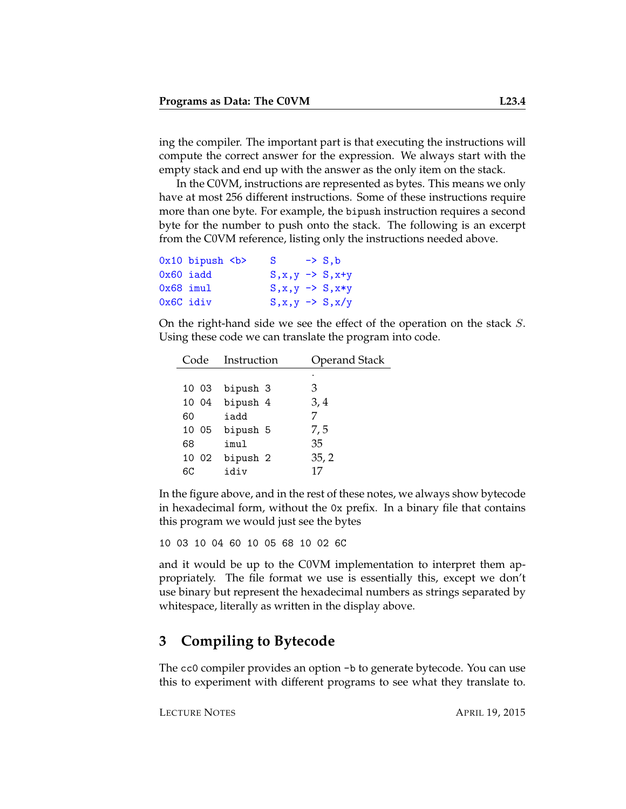ing the compiler. The important part is that executing the instructions will compute the correct answer for the expression. We always start with the empty stack and end up with the answer as the only item on the stack.

In the C0VM, instructions are represented as bytes. This means we only have at most 256 different instructions. Some of these instructions require more than one byte. For example, the bipush instruction requires a second byte for the number to push onto the stack. The following is an excerpt from the C0VM reference, listing only the instructions needed above.

|             | $0x10$ bipush $>$ | S                            | $\rightarrow$ S.b |
|-------------|-------------------|------------------------------|-------------------|
| $0x60$ iadd |                   | $S, x, y \rightarrow S, x+y$ |                   |
| $0x68$ imul |                   | $S, x, y \rightarrow S, x*y$ |                   |
| 0x6C idiv   |                   | $S, x, y \rightarrow S, x/y$ |                   |

On the right-hand side we see the effect of the operation on the stack S. Using these code we can translate the program into code.

|       | Code Instruction | <b>Operand Stack</b> |  |
|-------|------------------|----------------------|--|
|       |                  | ٠                    |  |
| 10 03 | bipush 3         | З                    |  |
|       | 10 04 bipush 4   | 3,4                  |  |
| 60    | iadd             |                      |  |
|       | 10 05 bipush 5   | 7,5                  |  |
| 68    | imul             | 35                   |  |
|       | 10 02 bipush 2   | 35, 2                |  |
| 6C    | idiv             | 17                   |  |

In the figure above, and in the rest of these notes, we always show bytecode in hexadecimal form, without the 0x prefix. In a binary file that contains this program we would just see the bytes

10 03 10 04 60 10 05 68 10 02 6C

and it would be up to the C0VM implementation to interpret them appropriately. The file format we use is essentially this, except we don't use binary but represent the hexadecimal numbers as strings separated by whitespace, literally as written in the display above.

### **3 Compiling to Bytecode**

The cc0 compiler provides an option -b to generate bytecode. You can use this to experiment with different programs to see what they translate to.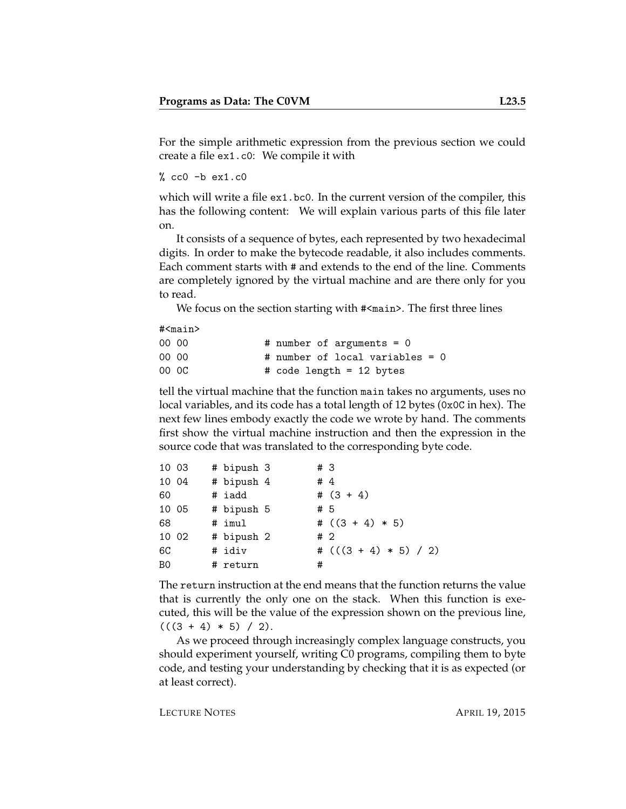For the simple arithmetic expression from the previous section we could create a file ex1.c0: We compile it with

 $%$  cc0  $-b$  ex1.c0

which will write a file ex1.bc0. In the current version of the compiler, this has the following content: We will explain various parts of this file later on.

It consists of a sequence of bytes, each represented by two hexadecimal digits. In order to make the bytecode readable, it also includes comments. Each comment starts with # and extends to the end of the line. Comments are completely ignored by the virtual machine and are there only for you to read.

We focus on the section starting with  $\#$ <main>. The first three lines

#<main>

| 00 00 | # number of arguments = $0$     |  |
|-------|---------------------------------|--|
| 00 00 | # number of local variables = 0 |  |
| 00 OC | # code length = 12 bytes        |  |

tell the virtual machine that the function main takes no arguments, uses no local variables, and its code has a total length of 12 bytes (0x0C in hex). The next few lines embody exactly the code we wrote by hand. The comments first show the virtual machine instruction and then the expression in the source code that was translated to the corresponding byte code.

| 10 03 |       | # bipush 3 | # 3 |                         |
|-------|-------|------------|-----|-------------------------|
| 10 04 |       | # bipush 4 | #4  |                         |
| 60    |       | # iadd     |     | # $(3 + 4)$             |
|       | 10 05 | # bipush 5 | #5  |                         |
| 68    |       | # imul     |     | # $((3 + 4) * 5)$       |
| 10 02 |       | # bipush 2 | #2  |                         |
| 6C    |       | # idiv     |     | # $(((3 + 4) * 5) / 2)$ |
| B0    |       | # return   | #   |                         |

The return instruction at the end means that the function returns the value that is currently the only one on the stack. When this function is executed, this will be the value of the expression shown on the previous line,  $(((3 + 4) * 5) / 2).$ 

As we proceed through increasingly complex language constructs, you should experiment yourself, writing C0 programs, compiling them to byte code, and testing your understanding by checking that it is as expected (or at least correct).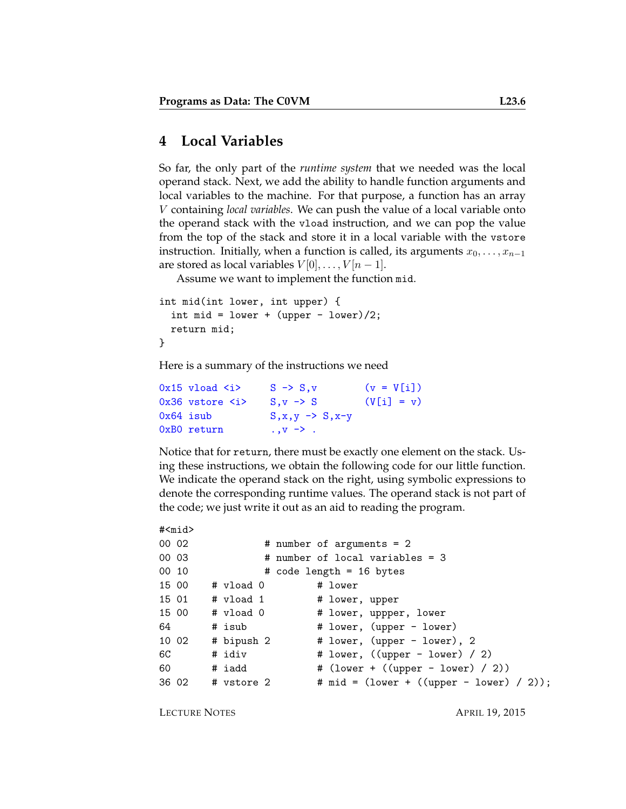# **4 Local Variables**

So far, the only part of the *runtime system* that we needed was the local operand stack. Next, we add the ability to handle function arguments and local variables to the machine. For that purpose, a function has an array V containing *local variables*. We can push the value of a local variable onto the operand stack with the vload instruction, and we can pop the value from the top of the stack and store it in a local variable with the vstore instruction. Initially, when a function is called, its arguments  $x_0, \ldots, x_{n-1}$ are stored as local variables  $V[0], \ldots, V[n-1].$ 

Assume we want to implement the function mid.

```
int mid(int lower, int upper) {
  int mid = lower + (upper - lower)/2;
  return mid;
}
```
Here is a summary of the instructions we need

| $0x15$ vload $\langle i \rangle$  | $S \rightarrow S.v$           | $(v = V[i])$ |
|-----------------------------------|-------------------------------|--------------|
| $0x36$ vstore $\langle i \rangle$ | $S_v \rightarrow S$           | $(V[i] = v)$ |
| 0x64 isub                         | $S, x, y \rightarrow S, x-y$  |              |
| 0xB0 return                       | $\cdot \cdot v \rightarrow$ . |              |

Notice that for return, there must be exactly one element on the stack. Using these instructions, we obtain the following code for our little function. We indicate the operand stack on the right, using symbolic expressions to denote the corresponding runtime values. The operand stack is not part of the code; we just write it out as an aid to reading the program.

```
#<mid>
00 02 # number of arguments = 2
00 03 # number of local variables = 3
00 10 # code length = 16 bytes
15 00 # vload 0 # lower
15 01 # vload 1 # lower, upper
15 00 # vload 0 # lower, uppper, lower
64 # isub # lower, (upper - lower)
10 02 # bipush 2 # lower, (upper - lower), 2
6C # idiv # lower, ((upper - lower) / 2)
60 # iadd # (lower + ((upper - lower) / 2))
36 02 # vstore 2 # mid = (lower + ((upper - lower) / 2));
```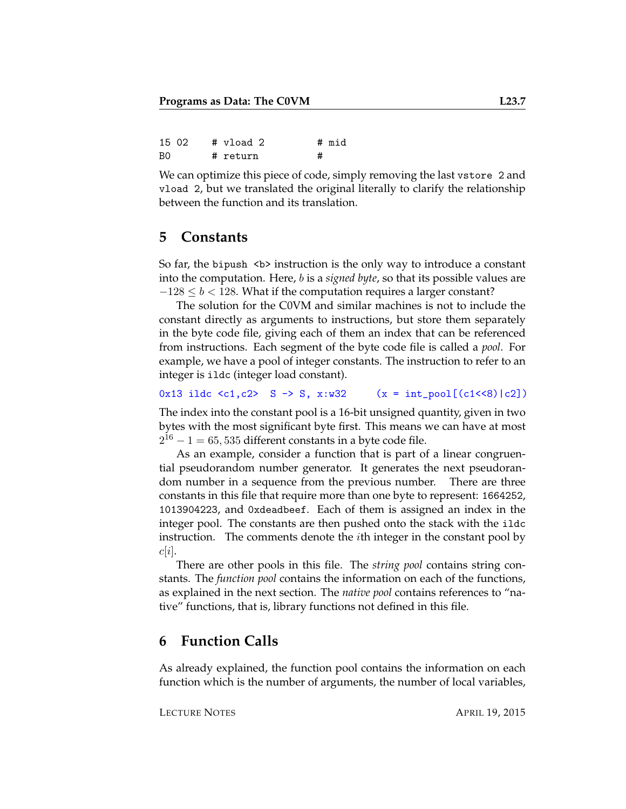|    | 15 02 | # vload 2 | # mid |
|----|-------|-----------|-------|
| B0 |       | # return  |       |

We can optimize this piece of code, simply removing the last vstore 2 and vload 2, but we translated the original literally to clarify the relationship between the function and its translation.

# **5 Constants**

So far, the bipush  $\langle b \rangle$  instruction is the only way to introduce a constant into the computation. Here, b is a *signed byte*, so that its possible values are  $-128 \le b < 128$ . What if the computation requires a larger constant?

The solution for the C0VM and similar machines is not to include the constant directly as arguments to instructions, but store them separately in the byte code file, giving each of them an index that can be referenced from instructions. Each segment of the byte code file is called a *pool*. For example, we have a pool of integer constants. The instruction to refer to an integer is ildc (integer load constant).

0x13 ildc <c1,c2> S -> S, x:w32 (x = int\_pool[(c1<<8)|c2])

The index into the constant pool is a 16-bit unsigned quantity, given in two bytes with the most significant byte first. This means we can have at most  $2^{16} - 1 = 65,535$  different constants in a byte code file.

As an example, consider a function that is part of a linear congruential pseudorandom number generator. It generates the next pseudorandom number in a sequence from the previous number. There are three constants in this file that require more than one byte to represent: 1664252, 1013904223, and 0xdeadbeef. Each of them is assigned an index in the integer pool. The constants are then pushed onto the stack with the ildc instruction. The comments denote the ith integer in the constant pool by  $c|i|.$ 

There are other pools in this file. The *string pool* contains string constants. The *function pool* contains the information on each of the functions, as explained in the next section. The *native pool* contains references to "native" functions, that is, library functions not defined in this file.

### **6 Function Calls**

As already explained, the function pool contains the information on each function which is the number of arguments, the number of local variables,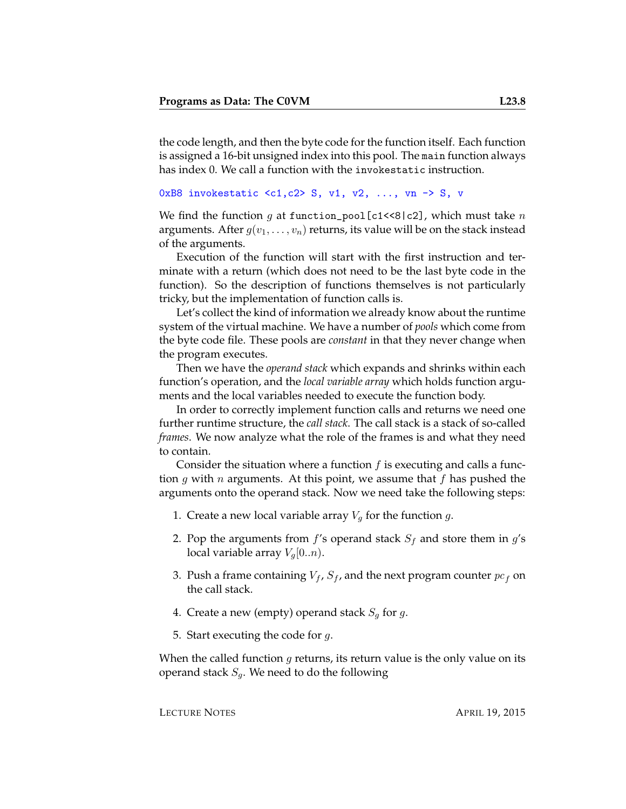the code length, and then the byte code for the function itself. Each function is assigned a 16-bit unsigned index into this pool. The main function always has index 0. We call a function with the invokestatic instruction.

```
0xB8 invokestatic \langle c1, c2 \rangle S, v1, v2, ..., vn \rightarrow S, v
```
We find the function q at function\_pool [c1<<8|c2], which must take  $n$ arguments. After  $g(v_1, \ldots, v_n)$  returns, its value will be on the stack instead of the arguments.

Execution of the function will start with the first instruction and terminate with a return (which does not need to be the last byte code in the function). So the description of functions themselves is not particularly tricky, but the implementation of function calls is.

Let's collect the kind of information we already know about the runtime system of the virtual machine. We have a number of *pools* which come from the byte code file. These pools are *constant* in that they never change when the program executes.

Then we have the *operand stack* which expands and shrinks within each function's operation, and the *local variable array* which holds function arguments and the local variables needed to execute the function body.

In order to correctly implement function calls and returns we need one further runtime structure, the *call stack*. The call stack is a stack of so-called *frames*. We now analyze what the role of the frames is and what they need to contain.

Consider the situation where a function  $f$  is executing and calls a function g with n arguments. At this point, we assume that f has pushed the arguments onto the operand stack. Now we need take the following steps:

- 1. Create a new local variable array  $V_g$  for the function  $g$ .
- 2. Pop the arguments from  $f$ 's operand stack  $S_f$  and store them in  $g$ 's local variable array  $V_q[0..n)$ .
- 3. Push a frame containing  $V_f$ ,  $S_f$ , and the next program counter  $pc_f$  on the call stack.
- 4. Create a new (empty) operand stack  $S_q$  for g.
- 5. Start executing the code for  $q$ .

When the called function  $g$  returns, its return value is the only value on its operand stack  $S_q$ . We need to do the following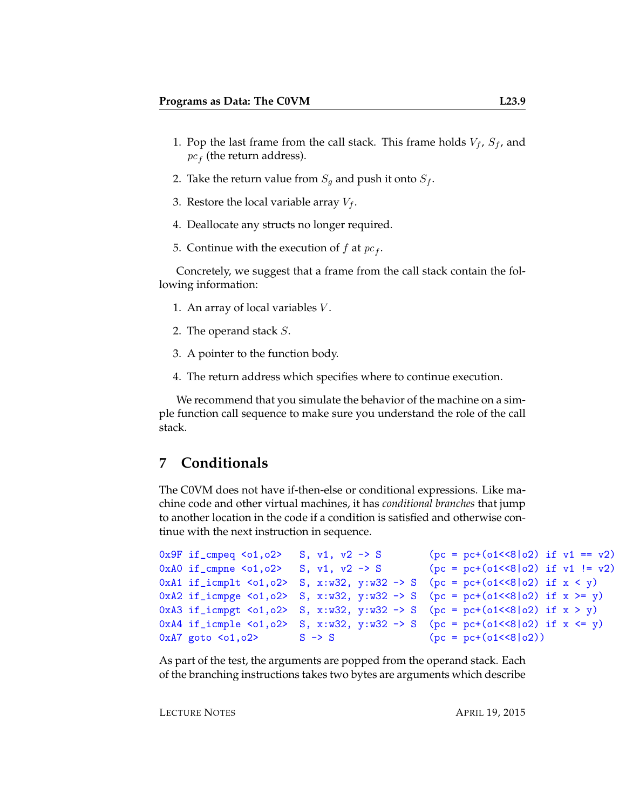- 1. Pop the last frame from the call stack. This frame holds  $V_f$ ,  $S_f$ , and  $pc<sub>f</sub>$  (the return address).
- 2. Take the return value from  $S_g$  and push it onto  $S_f$ .
- 3. Restore the local variable array  $V_f$ .
- 4. Deallocate any structs no longer required.
- 5. Continue with the execution of  $f$  at  $pc_f$ .

Concretely, we suggest that a frame from the call stack contain the following information:

- 1. An array of local variables  $V$ .
- 2. The operand stack S.
- 3. A pointer to the function body.
- 4. The return address which specifies where to continue execution.

We recommend that you simulate the behavior of the machine on a simple function call sequence to make sure you understand the role of the call stack.

### **7 Conditionals**

The C0VM does not have if-then-else or conditional expressions. Like machine code and other virtual machines, it has *conditional branches* that jump to another location in the code if a condition is satisfied and otherwise continue with the next instruction in sequence.

```
0x9F if_cmpeq <o1,o2> S, v1, v2 -> S (pc = pc+(o1<<8|o2) if v1 == v2)
0xA0 if_cmpne <o1,o2> S, v1, v2 -> S (pc = pc+(o1<<8|o2) if v1 != v2)
0xA1 if_icmplt <o1,o2> S, x:w32, y:w32 -> S (pc = pc+(o1<<8|o2) if x < y)
0xA2 if_icmpge <o1,o2> S, x:w32, y:w32 -> S (pc = pc+(o1<<8|o2) if x >= y)
0xA3 if_icmpgt <o1,o2> S, x:w32, y:w32 -> S (pc = pc+(o1<<8|o2) if x > y)
0xA4 if_icmple <o1, o2> S, x:w32, y:w32 -> S (pc = pc+(o1<<8|o2) if x <= y)
0xA7 goto <o1,o2> S \rightarrow S (pc = pc+(o1<<8|o2))
```
As part of the test, the arguments are popped from the operand stack. Each of the branching instructions takes two bytes are arguments which describe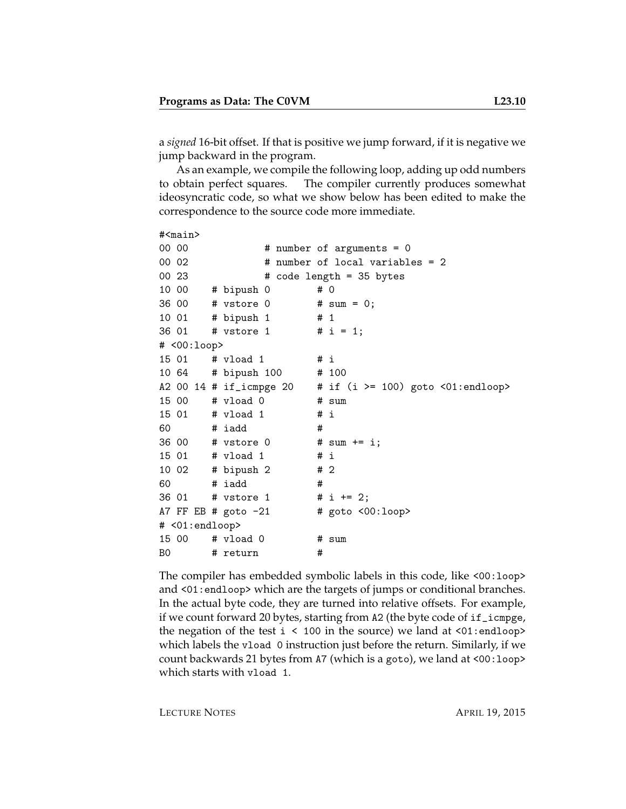a *signed* 16-bit offset. If that is positive we jump forward, if it is negative we jump backward in the program.

As an example, we compile the following loop, adding up odd numbers to obtain perfect squares. The compiler currently produces somewhat ideosyncratic code, so what we show below has been edited to make the correspondence to the source code more immediate.

```
#<main>
00 00 # number of arguments = 0
00 02 # number of local variables = 2
00\,23 \text{# code length} = 35 \text{ bytes}10 00 # bipush 0 # 0
36 00 # vstore 0 # sum = 0;
10 01 # bipush 1 # 1
36 01 # vstore 1 # i = 1;
# <00:loop>
15 01 # vload 1 # i
10 64 # bipush 100 # 100
A2 00 14 # if_icmpge 20 = # if (i >= 100) goto \langle01:endloop>
15 00 # vload 0 # sum
15 01 # vload 1 # i
60 # iadd #
36 00 # vstore 0 # sum += i;
15 01 # vload 1 # i
10 02 # bipush 2 # 2
60 # iadd #
36 01 # vstore 1 # i += 2;
A7 FF EB # goto -21 # goto <00:loop# <01:endloop>
15 00 # vload 0 # sum
B0 # return #
```
The compiler has embedded symbolic labels in this code, like <00:loop> and <01:endloop> which are the targets of jumps or conditional branches. In the actual byte code, they are turned into relative offsets. For example, if we count forward 20 bytes, starting from A2 (the byte code of if\_icmpge, the negation of the test  $i \leq 100$  in the source) we land at  $\langle 01$ : endloop> which labels the vload 0 instruction just before the return. Similarly, if we count backwards 21 bytes from A7 (which is a goto), we land at <00:loop> which starts with vload 1.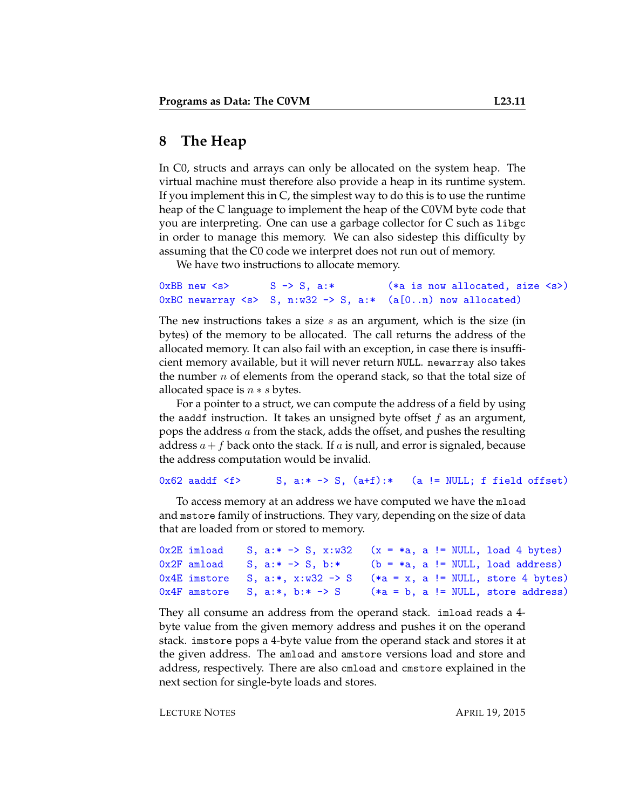# **8 The Heap**

In C0, structs and arrays can only be allocated on the system heap. The virtual machine must therefore also provide a heap in its runtime system. If you implement this in C, the simplest way to do this is to use the runtime heap of the C language to implement the heap of the C0VM byte code that you are interpreting. One can use a garbage collector for C such as libgc in order to manage this memory. We can also sidestep this difficulty by assuming that the C0 code we interpret does not run out of memory.

We have two instructions to allocate memory.

```
0xBB new \langle s \rangle S -> S, a:* (*a is now allocated, size \langle s \rangle)
0xBC newarray \langle s \rangle S, n:w32 -> S, a:* (a[0..n) now allocated)
```
The new instructions takes a size  $s$  as an argument, which is the size (in bytes) of the memory to be allocated. The call returns the address of the allocated memory. It can also fail with an exception, in case there is insufficient memory available, but it will never return NULL. newarray also takes the number  $n$  of elements from the operand stack, so that the total size of allocated space is  $n * s$  bytes.

For a pointer to a struct, we can compute the address of a field by using the aaddf instruction. It takes an unsigned byte offset  $f$  as an argument, pops the address a from the stack, adds the offset, and pushes the resulting address  $a+f$  back onto the stack. If a is null, and error is signaled, because the address computation would be invalid.

#### 0x62 aaddf  $\leq f$ > S, a:\* -> S, (a+f):\* (a != NULL; f field offset)

To access memory at an address we have computed we have the mload and mstore family of instructions. They vary, depending on the size of data that are loaded from or stored to memory.

```
0x2E imload S, a:* \rightarrow S, x:w32 (x = *a, a != NULL, load 4 bytes)
0x2F amload S, a:* -> S, b:* (b = *a, a != NULL, load address)
0x4E imstore S, a:*, x:w32 \rightarrow S (*a = x, a != NULL, store 4 bytes)
0x4F amstore S, a:*, b:* \rightarrow S (*a = b, a != NULL, store address)
```
They all consume an address from the operand stack. imload reads a 4 byte value from the given memory address and pushes it on the operand stack. imstore pops a 4-byte value from the operand stack and stores it at the given address. The amload and amstore versions load and store and address, respectively. There are also cmload and cmstore explained in the next section for single-byte loads and stores.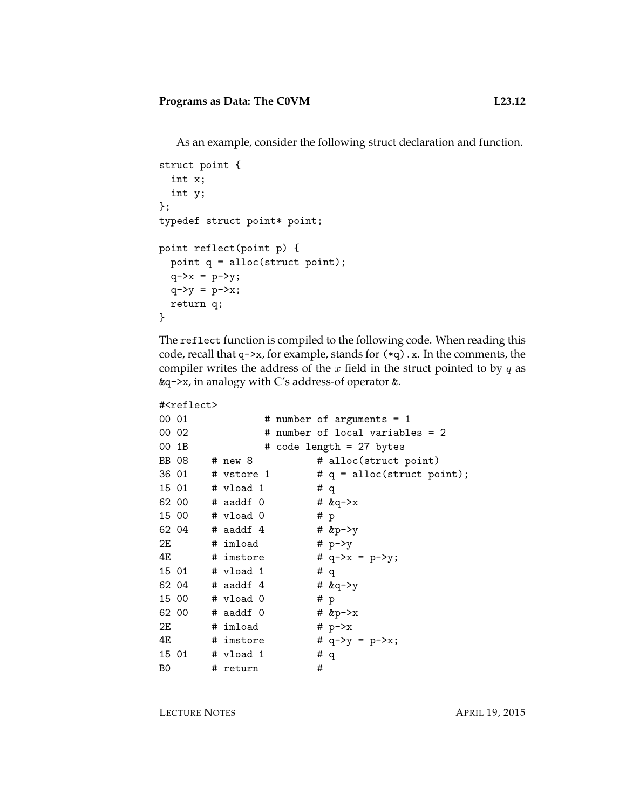As an example, consider the following struct declaration and function.

```
struct point {
 int x;
  int y;
};
typedef struct point* point;
point reflect(point p) {
 point q = alloc(struct point);
 q->x = p->y;q - y = p - x;return q;
}
```
The reflect function is compiled to the following code. When reading this code, recall that  $q\rightarrow x$ , for example, stands for  $(*q)$ . x. In the comments, the compiler writes the address of the  $x$  field in the struct pointed to by  $q$  as &q->x, in analogy with C's address-of operator &.

```
#<reflect>
```

```
00\ 01 \# number of arguments = 1
00 02 # number of local variables = 2
00 1B \# code length = 27 bytes
BB 08 # new 8 # alloc(struct point)
36 01 \# vstore 1 \# q = alloc(struct point);
15 01 # vload 1 # q
62 00 # aaddf 0 # \&q->x
15 00 # vload 0 # p
62 04 # aaddf 4 # kp \rightarrow y2E # imload # p \rightarrow y4E # imstore # q - \ge x = p - \ge y;15 01 # vload 1 # q
62 04 # a \cdot b \cdot 4 # a \cdot b \cdot 4 # a \cdot b \cdot 415 00 # vload 0 # p
62 00 # aaddf 0 # \&p\rightarrow x2E \# imload \# p->x
4E # imstore # q->y = p->x;
15 01 # vload 1 # q
B0 # return #
```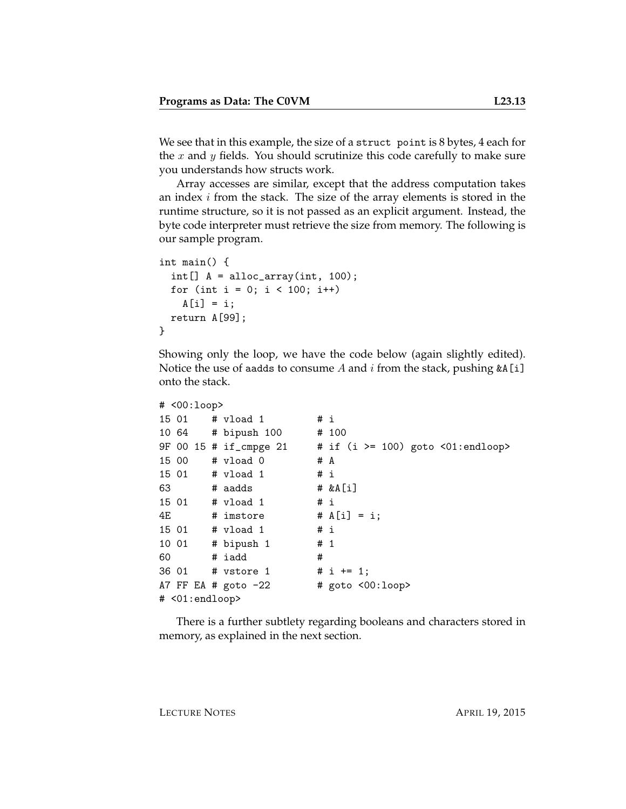We see that in this example, the size of a struct point is 8 bytes, 4 each for the x and y fields. You should scrutinize this code carefully to make sure you understands how structs work.

Array accesses are similar, except that the address computation takes an index  $i$  from the stack. The size of the array elements is stored in the runtime structure, so it is not passed as an explicit argument. Instead, the byte code interpreter must retrieve the size from memory. The following is our sample program.

```
int main() {
 int[] A = alloc_array(int, 100);for (int i = 0; i < 100; i++)A[i] = i;return A[99];
}
```
Showing only the loop, we have the code below (again slightly edited). Notice the use of aadds to consume A and  $i$  from the stack, pushing  $\&A[i]$ onto the stack.

```
# <00:loop>
15 01 # vload 1 # i
10 64 # bipush 100 # 100
9F 00 15 # if_cmpge 21 # if (i >= 100) goto <01:endloop>
15 00 # vload 0 # A
15 01 # vload 1 # i
63 # aadds # &A[i]
15 01 # vload 1 # i
4E \# imstore \# A[i] = i;
15 01 # vload 1 # i
10 01 # bipush 1 # 1
60 # iadd #
36 01 # vstore 1 # i += 1;
A7 FF EA # goto -22 # goto <00:loop# <01:endloop>
```
There is a further subtlety regarding booleans and characters stored in memory, as explained in the next section.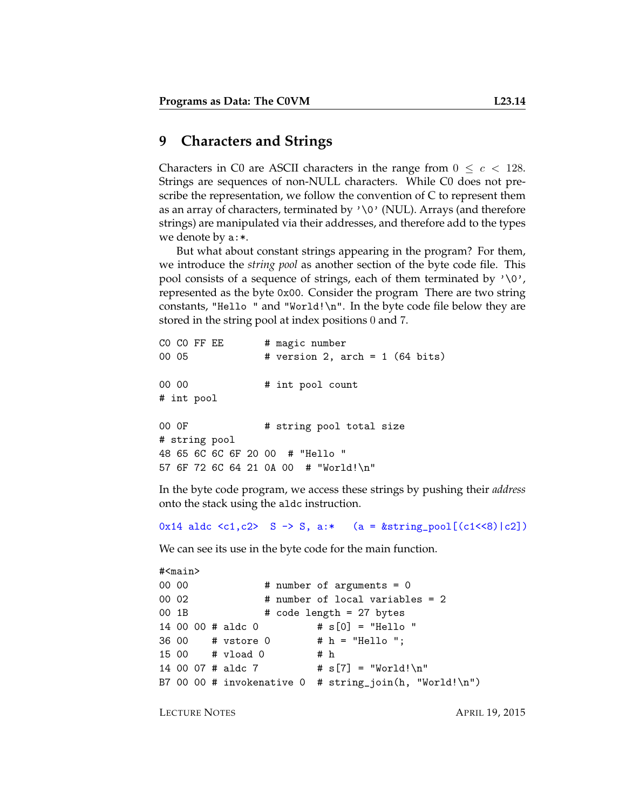## **9 Characters and Strings**

Characters in C0 are ASCII characters in the range from  $0 \leq c < 128$ . Strings are sequences of non-NULL characters. While C0 does not prescribe the representation, we follow the convention of C to represent them as an array of characters, terminated by  $\sqrt{v}$  (NUL). Arrays (and therefore strings) are manipulated via their addresses, and therefore add to the types we denote by a:\*.

But what about constant strings appearing in the program? For them, we introduce the *string pool* as another section of the byte code file. This pool consists of a sequence of strings, each of them terminated by  $\sqrt{0}$ , represented as the byte 0x00. Consider the program There are two string constants, "Hello " and "World! $\n\cdot$ ". In the byte code file below they are stored in the string pool at index positions 0 and 7.

```
CO CO FF EE # magic number
00 05 # version 2, arch = 1 (64 bits)
00 00 \# int pool count
# int pool
00 OF # string pool total size
# string pool
48 65 6C 6C 6F 20 00 # "Hello "
57 6F 72 6C 64 21 0A 00 # "World!\n"
```
In the byte code program, we access these strings by pushing their *address* onto the stack using the aldc instruction.

0x14 aldc <c1,c2> S -> S, a:\* (a =  $kstring\_pool[(c1<<8)|c2])$ 

We can see its use in the byte code for the main function.

```
#<main>
00\ 00 # number of arguments = 0
00 02 # number of local variables = 2
00 1B \# \text{ code length} = 27 \text{ bytes}14 00 00 # aldc 0 # s[0] = "Hello "
36 00 # vstore 0 # h = "Hello ";
15 00 # vload 0 # h
14 00 07 # aldc 7 # s[7] = "World!\n"
B7 00 00 # invokenative 0 # string_join(h, "World!\n")
```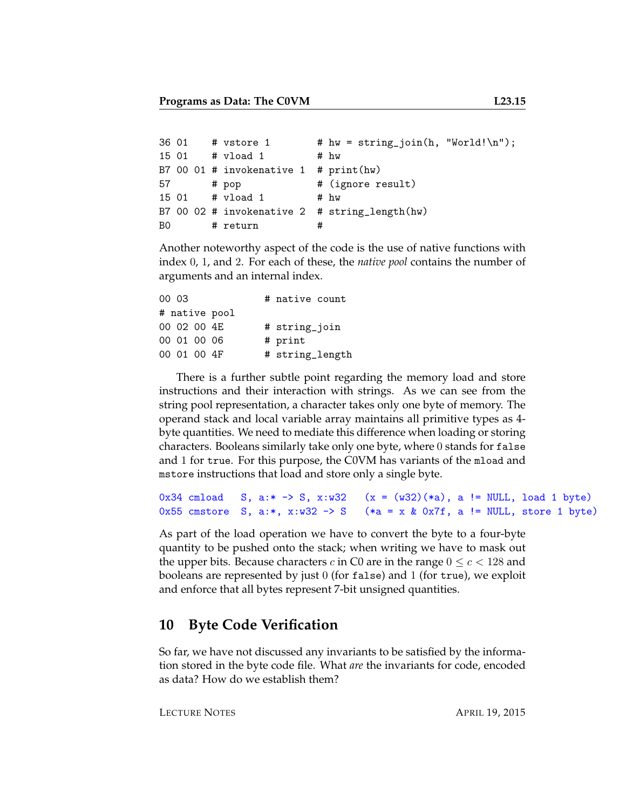```
36 01 # vstore 1 # hw = string_join(h, "World!\n");
15 01 # vload 1 # hw
B7 00 01 # invokenative 1 # print(hw)
57 # pop # (ignore result)
15 01 # vload 1 # hw
B7 00 02 # invokenative 2 # string_length(hw)
B0 # return #
```
Another noteworthy aspect of the code is the use of native functions with index 0, 1, and 2. For each of these, the *native pool* contains the number of arguments and an internal index.

| 00 03       |              |               | # native count  |  |
|-------------|--------------|---------------|-----------------|--|
|             |              | # native pool |                 |  |
|             | 00 02 00 4F. |               | # string_join   |  |
|             | 00 01 00 06  |               | # print         |  |
| 00 01 00 4F |              |               | # string_length |  |

There is a further subtle point regarding the memory load and store instructions and their interaction with strings. As we can see from the string pool representation, a character takes only one byte of memory. The operand stack and local variable array maintains all primitive types as 4 byte quantities. We need to mediate this difference when loading or storing characters. Booleans similarly take only one byte, where 0 stands for false and 1 for true. For this purpose, the C0VM has variants of the mload and mstore instructions that load and store only a single byte.

```
0x34 cmload S, a:* -> S, x:w32 (x = (w32)(*a), a != NULL, load 1 byte)
0x55 cmstore S, a:*, x:w32 -> S (*a = x & 0x7f, a != NULL, store 1 byte)
```
As part of the load operation we have to convert the byte to a four-byte quantity to be pushed onto the stack; when writing we have to mask out the upper bits. Because characters c in C0 are in the range  $0 \le c < 128$  and booleans are represented by just 0 (for false) and 1 (for true), we exploit and enforce that all bytes represent 7-bit unsigned quantities.

# **10 Byte Code Verification**

So far, we have not discussed any invariants to be satisfied by the information stored in the byte code file. What *are* the invariants for code, encoded as data? How do we establish them?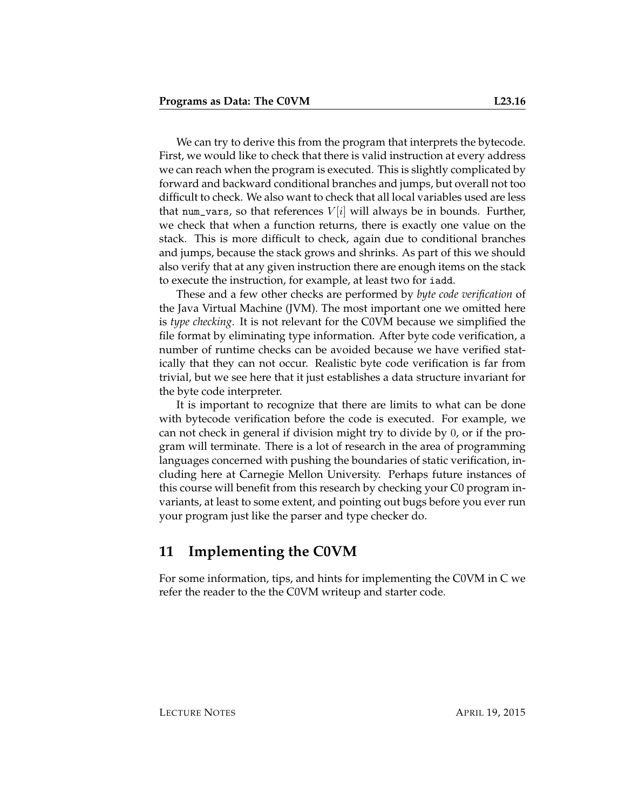We can try to derive this from the program that interprets the bytecode. First, we would like to check that there is valid instruction at every address we can reach when the program is executed. This is slightly complicated by forward and backward conditional branches and jumps, but overall not too difficult to check. We also want to check that all local variables used are less that num\_vars, so that references  $V[i]$  will always be in bounds. Further, we check that when a function returns, there is exactly one value on the stack. This is more difficult to check, again due to conditional branches and jumps, because the stack grows and shrinks. As part of this we should also verify that at any given instruction there are enough items on the stack to execute the instruction, for example, at least two for iadd.

These and a few other checks are performed by *byte code verification* of the Java Virtual Machine (JVM). The most important one we omitted here is *type checking*. It is not relevant for the C0VM because we simplified the file format by eliminating type information. After byte code verification, a number of runtime checks can be avoided because we have verified statically that they can not occur. Realistic byte code verification is far from trivial, but we see here that it just establishes a data structure invariant for the byte code interpreter.

It is important to recognize that there are limits to what can be done with bytecode verification before the code is executed. For example, we can not check in general if division might try to divide by 0, or if the program will terminate. There is a lot of research in the area of programming languages concerned with pushing the boundaries of static verification, including here at Carnegie Mellon University. Perhaps future instances of this course will benefit from this research by checking your C0 program invariants, at least to some extent, and pointing out bugs before you ever run your program just like the parser and type checker do.

### **11 Implementing the C0VM**

For some information, tips, and hints for implementing the C0VM in C we refer the reader to the the C0VM writeup and starter code.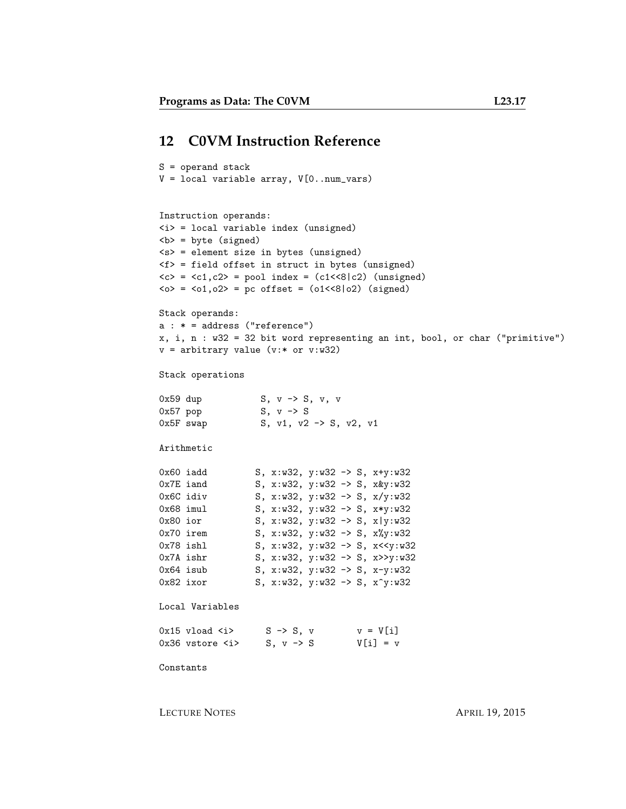#### **12 C0VM Instruction Reference**

```
S = operand stack
V = local variable array, V[0..num_vars)
Instruction operands:
\langle i \rangle = local variable index (unsigned)

<s> = element size in bytes (unsigned)
<f> = field offset in struct in bytes (unsigned)
\langle c \rangle = \langle c1, c2 \rangle = pool index = (c1 \langle \langle 8 | c2 \rangle) (unsigned)
\langle 0 \rangle = \langle 01, 02 \rangle = pc offset = (01 \langle 8 | 02 \rangle) (signed)
Stack operands:
a : * = address ("reference")
x, i, n : w32 = 32 bit word representing an int, bool, or char ("primitive")
v = arbitrary value (v:* or v:w32)
Stack operations
0x59 dup S, v -> S, v, v
0x57 pop S, v -> S
0x5F swap S, v1, v2 -> S, v2, v1
Arithmetic
0x60 iadd S, x:w32, y:w32 -> S, x+y:w32
0x7E iand S, x:w32, y:w32 -> S, x&y:w32<br>0x6C idiv S, x:w32, y:w32 -> S, x/y:w32<br>0x68 imul S, x:w32, y:w32 -> S, x*y:w32<br>0x80 ior S, x:w32, y:w32 -> S, x*y:w32
                    S, x: w32, y: w32 \rightarrow S, x/y: w32S, x: w32, y: w32 \rightarrow S, x*y: w320x80 ior S, x:w32, y:w32 -> S, x|y:w32
0x70 irem S, x:w32, y:w32 -> S, x%y:w32<br>0x78 ishl S, x:w32, y:w32 -> S, x<<y:w32
                    S, x:w32, y:w32 -> S, x<<y:w32
0x7A ishr S, x:w32, y:w32 -> S, x>>y:w32
0x64 isub S, x:w32, y:w32 -> S, x-y:w32<br>0x82 ixor S, x:w32, y:w32 -> S. x<sup>2</sup>v:w32
                     S, x:w32, y:w32 -> S, x^y:w32
Local Variables
0x15 vload \langle i \rangle S \rightarrow S, v v = V[i]0x36 vstore \langle i \rangle S, v -> S V[i] = v
Constants
```